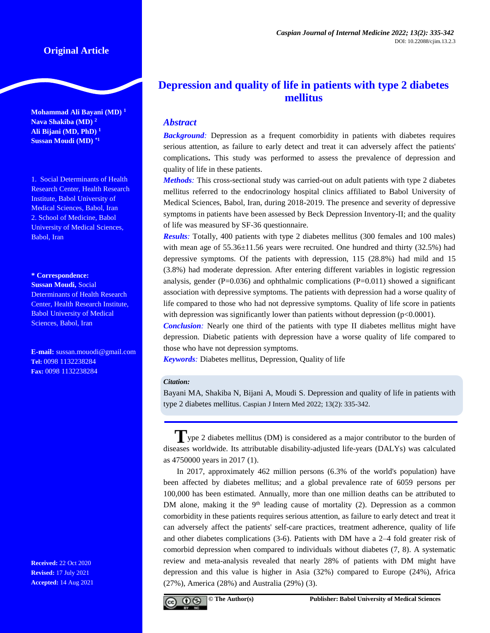# **Original Article**

**Mohammad Ali Bayani (MD) <sup>1</sup> Nava Shakiba (MD) <sup>2</sup> Ali Bijani (MD, PhD) <sup>1</sup> Sussan Moudi (MD) \*1**

1. Social Determinants of Health Research Center, Health Research Institute, Babol University of Medical Sciences, Babol, Iran 2. School of Medicine, Babol University of Medical Sciences, Babol, Iran

#### **\* Correspondence:**

**Sussan Moudi,** Social Determinants of Health Research Center, Health Research Institute, Babol University of Medical Sciences, Babol, Iran

**E-mail:** [sussan.mouodi@gmail.com](mailto:sussan.mouodi@gmail.com) **Tel:** 0098 1132238284 **Fax:** 0098 1132238284

**Received:** 22 Oct 2020 **Revised:** 17 July 2021 **Accepted:** 14 Aug 2021

# **Depression and quality of life in patients with type 2 diabetes mellitus**

## *Abstract*

**Background**: Depression as a frequent comorbidity in patients with diabetes requires serious attention, as failure to early detect and treat it can adversely affect the patients' complications**.** This study was performed to assess the prevalence of depression and quality of life in these patients.

*Methods:* This cross-sectional study was carried-out on adult patients with type 2 diabetes mellitus referred to the endocrinology hospital clinics affiliated to Babol University of Medical Sciences, Babol, Iran, during 2018-2019. The presence and severity of depressive symptoms in patients have been assessed by Beck Depression Inventory-II; and the quality of life was measured by SF-36 questionnaire.

*Results:* Totally, 400 patients with type 2 diabetes mellitus (300 females and 100 males) with mean age of  $55.36\pm11.56$  years were recruited. One hundred and thirty (32.5%) had depressive symptoms. Of the patients with depression, 115 (28.8%) had mild and 15 (3.8%) had moderate depression. After entering different variables in logistic regression analysis, gender  $(P=0.036)$  and ophthalmic complications  $(P=0.011)$  showed a significant association with depressive symptoms. The patients with depression had a worse quality of life compared to those who had not depressive symptoms. Quality of life score in patients with depression was significantly lower than patients without depression (p<0.0001).

*Conclusion:* Nearly one third of the patients with type II diabetes mellitus might have depression. Diabetic patients with depression have a worse quality of life compared to those who have not depression symptoms.

*Keywords:* Diabetes mellitus, Depression, Quality of life

#### *Citation:*

Bayani MA, Shakiba N, Bijani A, Moudi S. Depression and quality of life in patients with type 2 diabetes mellitus. Caspian J Intern Med 2022; 13(2): 335-342.

# **T**ype 2 diabetes mellitus (DM) is considered as a major contributor to the burden of diseases worldwide. Its attributable disability-adjusted life-years (DALYs) was calculated as 4750000 years in 2017 (1).

In 2017, approximately 462 million persons (6.3% of the world's population) have been affected by diabetes mellitus; and a global prevalence rate of 6059 persons per 100,000 has been estimated. Annually, more than one million deaths can be attributed to DM alone, making it the  $9<sup>th</sup>$  leading cause of mortality (2). Depression as a common comorbidity in these patients requires serious attention, as failure to early detect and treat it can adversely affect the patients' self-care practices, treatment adherence, quality of life and other diabetes complications (3-6). Patients with DM have a 2–4 fold greater risk of comorbid depression when compared to individuals without diabetes (7, 8). A systematic review and meta-analysis revealed that nearly 28% of patients with DM might have depression and this value is higher in Asia (32%) compared to Europe (24%), Africa (27%), America (28%) and Australia (29%) (3).

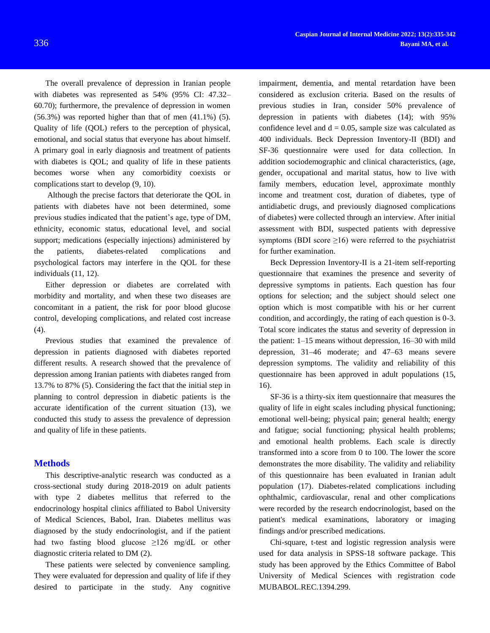The overall prevalence of depression in Iranian people with diabetes was represented as 54% (95% CI: 47.32– 60.70); furthermore, the prevalence of depression in women (56.3%) was reported higher than that of men (41.1%) (5). Quality of life (QOL) refers to the perception of physical, emotional, and social status that everyone has about himself. A primary goal in early diagnosis and treatment of patients with diabetes is QOL; and quality of life in these patients becomes worse when any comorbidity coexists or complications start to develop (9, 10).

Although the precise factors that deteriorate the QOL in patients with diabetes have not been determined, some previous studies indicated that the patient's age, type of DM, ethnicity, economic status, educational level, and social support; medications (especially injections) administered by the patients, diabetes-related complications and psychological factors may interfere in the QOL for these individuals (11, 12).

Either depression or diabetes are correlated with morbidity and mortality, and when these two diseases are concomitant in a patient, the risk for poor blood glucose control, developing complications, and related cost increase (4).

Previous studies that examined the prevalence of depression in patients diagnosed with diabetes reported different results. A research showed that the prevalence of depression among Iranian patients with diabetes ranged from 13.7% to 87% (5). Considering the fact that the initial step in planning to control depression in diabetic patients is the accurate identification of the current situation (13), we conducted this study to assess the prevalence of depression and quality of life in these patients.

### **Methods**

This descriptive-analytic research was conducted as a cross-sectional study during 2018-2019 on adult patients with type 2 diabetes mellitus that referred to the endocrinology hospital clinics affiliated to Babol University of Medical Sciences, Babol, Iran. Diabetes mellitus was diagnosed by the study endocrinologist, and if the patient had two fasting blood glucose  $\geq$ 126 mg/dL or other diagnostic criteria related to DM (2).

These patients were selected by convenience sampling. They were evaluated for depression and quality of life if they desired to participate in the study. Any cognitive

impairment, dementia, and mental retardation have been considered as exclusion criteria. Based on the results of previous studies in Iran, consider 50% prevalence of depression in patients with diabetes (14); with 95% confidence level and  $d = 0.05$ , sample size was calculated as 400 individuals. Beck Depression Inventory-II (BDI) and SF-36 questionnaire were used for data collection. In addition sociodemographic and clinical characteristics, (age, gender, occupational and marital status, how to live with family members, education level, approximate monthly income and treatment cost, duration of diabetes, type of antidiabetic drugs, and previously diagnosed complications of diabetes) were collected through an interview. After initial assessment with BDI, suspected patients with depressive symptoms (BDI score  $\geq 16$ ) were referred to the psychiatrist for further examination.

Beck Depression Inventory-II is a 21-item self-reporting questionnaire that examines the presence and severity of depressive symptoms in patients. Each question has four options for selection; and the subject should select one option which is most compatible with his or her current condition, and accordingly, the rating of each question is 0-3. Total score indicates the status and severity of depression in the patient: 1–15 means without depression, 16–30 with mild depression, 31–46 moderate; and 47–63 means severe depression symptoms. The validity and reliability of this questionnaire has been approved in adult populations (15, 16).

SF-36 is a thirty-six item questionnaire that measures the quality of life in eight scales including physical functioning; emotional well-being; physical pain; general health; energy and fatigue; social functioning; physical health problems; and emotional health problems. Each scale is directly transformed into a score from 0 to 100. The lower the score demonstrates the more disability. The validity and reliability of this questionnaire has been evaluated in Iranian adult population (17). Diabetes-related complications including ophthalmic, cardiovascular, renal and other complications were recorded by the research endocrinologist, based on the patient's medical examinations, laboratory or imaging findings and/or prescribed medications.

Chi-square, t-test and logistic regression analysis were used for data analysis in SPSS-18 software package. This study has been approved by the Ethics Committee of Babol University of Medical Sciences with registration code MUBABOL.REC.1394.299.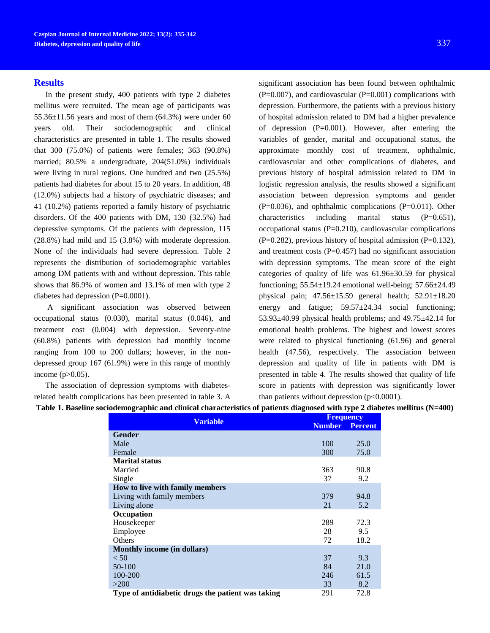### **Results**

In the present study, 400 patients with type 2 diabetes mellitus were recruited. The mean age of participants was  $55.36\pm11.56$  years and most of them  $(64.3\%)$  were under 60 years old. Their sociodemographic and clinical characteristics are presented in table 1. The results showed that 300 (75.0%) of patients were females; 363 (90.8%) married; 80.5% a undergraduate, 204(51.0%) individuals were living in rural regions. One hundred and two (25.5%) patients had diabetes for about 15 to 20 years. In addition, 48 (12.0%) subjects had a history of psychiatric diseases; and 41 (10.2%) patients reported a family history of psychiatric disorders. Of the 400 patients with DM, 130 (32.5%) had depressive symptoms. Of the patients with depression, 115 (28.8%) had mild and 15 (3.8%) with moderate depression. None of the individuals had severe depression. Table 2 represents the distribution of sociodemographic variables among DM patients with and without depression. This table shows that 86.9% of women and 13.1% of men with type 2 diabetes had depression (P=0.0001).

A significant association was observed between occupational status (0.030), marital status (0.046), and treatment cost (0.004) with depression. Seventy-nine (60.8%) patients with depression had monthly income ranging from 100 to 200 dollars; however, in the nondepressed group 167 (61.9%) were in this range of monthly income (p>0.05).

The association of depression symptoms with diabetesrelated health complications has been presented in table 3. A

significant association has been found between ophthalmic  $(P=0.007)$ , and cardiovascular  $(P=0.001)$  complications with depression. Furthermore, the patients with a previous history of hospital admission related to DM had a higher prevalence of depression  $(P=0.001)$ . However, after entering the variables of gender, marital and occupational status, the approximate monthly cost of treatment, ophthalmic, cardiovascular and other complications of diabetes, and previous history of hospital admission related to DM in logistic regression analysis, the results showed a significant association between depression symptoms and gender  $(P=0.036)$ , and ophthalmic complications  $(P=0.011)$ . Other characteristics including marital status  $(P=0.651)$ , occupational status (P=0.210), cardiovascular complications  $(P=0.282)$ , previous history of hospital admission  $(P=0.132)$ , and treatment costs  $(P=0.457)$  had no significant association with depression symptoms. The mean score of the eight categories of quality of life was 61.96±30.59 for physical functioning;  $55.54 \pm 19.24$  emotional well-being;  $57.66 \pm 24.49$ physical pain; 47.56±15.59 general health; 52.91±18.20 energy and fatigue;  $59.57 \pm 24.34$  social functioning;  $53.93\pm40.99$  physical health problems; and  $49.75\pm42.14$  for emotional health problems. The highest and lowest scores were related to physical functioning (61.96) and general health (47.56), respectively. The association between depression and quality of life in patients with DM is presented in table 4. The results showed that quality of life score in patients with depression was significantly lower than patients without depression  $(p<0.0001)$ .

|--|

| <b>Variable</b>                                   |               | <b>Frequency</b> |  |
|---------------------------------------------------|---------------|------------------|--|
|                                                   | <b>Number</b> | <b>Percent</b>   |  |
| <b>Gender</b>                                     |               |                  |  |
| Male                                              | 100           | 25.0             |  |
| Female                                            | 300           | 75.0             |  |
| <b>Marital status</b>                             |               |                  |  |
| Married                                           | 363           | 90.8             |  |
| Single                                            | 37            | 9.2              |  |
| How to live with family members                   |               |                  |  |
| Living with family members                        | 379           | 94.8             |  |
| Living alone                                      | 21            | 5.2              |  |
| Occupation                                        |               |                  |  |
| Housekeeper                                       | 289           | 72.3             |  |
| Employee                                          | 28            | 9.5              |  |
| <b>Others</b>                                     | 72            | 18.2             |  |
| <b>Monthly income (in dollars)</b>                |               |                  |  |
| < 50                                              | 37            | 9.3              |  |
| 50-100                                            | 84            | 21.0             |  |
| 100-200                                           | 246           | 61.5             |  |
| >200                                              | 33            | 8.2              |  |
| Type of antidiabetic drugs the patient was taking | 291           | 72.8             |  |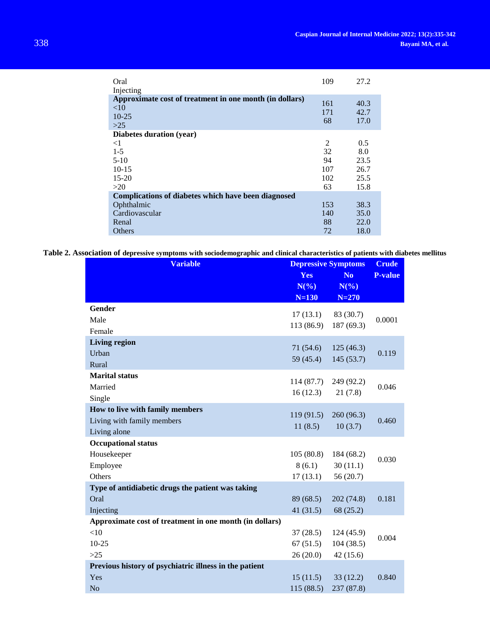| Oral<br>Injecting                                                                 | 109              | 27.2                 |
|-----------------------------------------------------------------------------------|------------------|----------------------|
| Approximate cost of treatment in one month (in dollars)<br><10<br>$10-25$<br>>2.5 | 161<br>171<br>68 | 40.3<br>42.7<br>17.0 |
| Diabetes duration (year)                                                          |                  |                      |
| $\leq$ 1                                                                          | 2                | 0.5                  |
| $1 - 5$                                                                           | 32               | 8.0                  |
| $5-10$                                                                            | 94               | 23.5                 |
| $10 - 15$                                                                         | 107              | 26.7                 |
| $15 - 20$                                                                         | 102              | 25.5                 |
| >20                                                                               | 63               | 15.8                 |
| Complications of diabetes which have been diagnosed                               |                  |                      |
| Ophthalmic                                                                        | 153              | 38.3                 |
| Cardiovascular                                                                    | 140              | 35.0                 |
| Renal                                                                             | 88               | 22.0                 |
| Others                                                                            | 72               | 18.0                 |

**Table 2. Association of depressive symptoms with sociodemographic and clinical characteristics of patients with diabetes mellitus**

| <b>Variable</b>                                         | <b>Depressive Symptoms</b> |                | <b>Crude</b>   |
|---------------------------------------------------------|----------------------------|----------------|----------------|
|                                                         | Yes                        | N <sub>o</sub> | <b>P-value</b> |
|                                                         | $N(\%)$                    | $N(\%)$        |                |
|                                                         | $N=130$                    | $N = 270$      |                |
| Gender                                                  | 17(13.1)                   | 83 (30.7)      |                |
| Male                                                    | 113 (86.9)                 | 187 (69.3)     | 0.0001         |
| Female                                                  |                            |                |                |
| <b>Living region</b>                                    | 71(54.6)                   | 125(46.3)      |                |
| Urban                                                   | 59 (45.4)                  | 145(53.7)      | 0.119          |
| Rural                                                   |                            |                |                |
| <b>Marital status</b>                                   | 114 (87.7)                 | 249 (92.2)     |                |
| Married                                                 | 16(12.3)                   |                | 0.046          |
| Single                                                  |                            | 21(7.8)        |                |
| How to live with family members                         |                            |                |                |
| Living with family members                              | 119(91.5)                  | 260 (96.3)     | 0.460          |
| Living alone                                            | 11(8.5)                    | 10(3.7)        |                |
| <b>Occupational status</b>                              |                            |                |                |
| Housekeeper                                             | 105(80.8)                  | 184 (68.2)     |                |
| Employee                                                | 8(6.1)                     | 30(11.1)       | 0.030          |
| Others                                                  | 17(13.1)                   | 56(20.7)       |                |
| Type of antidiabetic drugs the patient was taking       |                            |                |                |
| Oral                                                    | 89 (68.5)                  | 202 (74.8)     | 0.181          |
| Injecting                                               | 41(31.5)                   | 68 (25.2)      |                |
| Approximate cost of treatment in one month (in dollars) |                            |                |                |
| <10                                                     | 37(28.5)                   | 124 (45.9)     |                |
| $10 - 25$                                               | 67(51.5)                   | 104(38.5)      | 0.004          |
| >25                                                     | 26(20.0)                   | 42(15.6)       |                |
| Previous history of psychiatric illness in the patient  |                            |                |                |
| Yes                                                     | 15(11.5)                   | 33(12.2)       | 0.840          |
| N <sub>o</sub>                                          | 115 (88.5)                 | 237 (87.8)     |                |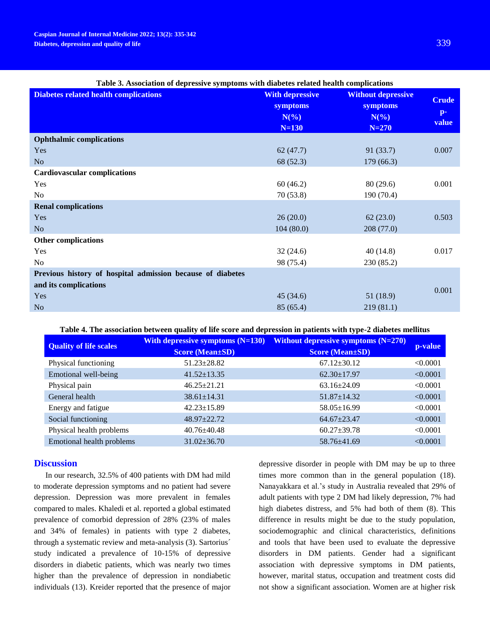| Table 5. Association of depressive symptoms with diabetes related health complications |                                                          |                                                                      |                                         |
|----------------------------------------------------------------------------------------|----------------------------------------------------------|----------------------------------------------------------------------|-----------------------------------------|
| <b>Diabetes related health complications</b>                                           | <b>With depressive</b><br>symptoms<br>$N(\%)$<br>$N=130$ | <b>Without depressive</b><br><b>symptoms</b><br>$N(\%)$<br>$N = 270$ | <b>Crude</b><br>$\mathbf{p}$ -<br>value |
| <b>Ophthalmic complications</b>                                                        |                                                          |                                                                      |                                         |
| Yes                                                                                    | 62(47.7)                                                 | 91(33.7)                                                             | 0.007                                   |
| N <sub>o</sub>                                                                         | 68 (52.3)                                                | 179(66.3)                                                            |                                         |
| <b>Cardiovascular complications</b>                                                    |                                                          |                                                                      |                                         |
| Yes                                                                                    | 60(46.2)                                                 | 80(29.6)                                                             | 0.001                                   |
| No                                                                                     | 70(53.8)                                                 | 190 (70.4)                                                           |                                         |
| <b>Renal complications</b>                                                             |                                                          |                                                                      |                                         |
| Yes                                                                                    | 26(20.0)                                                 | 62(23.0)                                                             | 0.503                                   |
| N <sub>o</sub>                                                                         | 104(80.0)                                                | 208(77.0)                                                            |                                         |
| <b>Other complications</b>                                                             |                                                          |                                                                      |                                         |
| Yes                                                                                    | 32(24.6)                                                 | 40(14.8)                                                             | 0.017                                   |
| N <sub>o</sub>                                                                         | 98 (75.4)                                                | 230 (85.2)                                                           |                                         |
| Previous history of hospital admission because of diabetes                             |                                                          |                                                                      |                                         |
| and its complications                                                                  |                                                          |                                                                      |                                         |
| Yes                                                                                    | 45(34.6)                                                 | 51(18.9)                                                             | 0.001                                   |
| N <sub>o</sub>                                                                         | 85 (65.4)                                                | 219(81.1)                                                            |                                         |

# **Table 3. Association of depressive symptoms with diabetes related health complications**

### **Table 4. The association between quality of life score and depression in patients with type-2 diabetes mellitus**

| <b>Quality of life scales</b> | With depressive symptoms $(N=130)$<br><b>Score (Mean±SD)</b> | Without depressive symptoms $(N=270)$<br><b>Score (Mean±SD)</b> | p-value  |
|-------------------------------|--------------------------------------------------------------|-----------------------------------------------------------------|----------|
| Physical functioning          | $51.23 \pm 28.82$                                            | $67.12 \pm 30.12$                                               | < 0.0001 |
| Emotional well-being          | $41.52 \pm 13.35$                                            | $62.30 \pm 17.97$                                               | < 0.0001 |
| Physical pain                 | $46.25 \pm 21.21$                                            | $63.16 \pm 24.09$                                               | < 0.0001 |
| General health                | $38.61 \pm 14.31$                                            | $51.87 \pm 14.32$                                               | < 0.0001 |
| Energy and fatigue            | $42.23 \pm 15.89$                                            | $58.05 \pm 16.99$                                               | < 0.0001 |
| Social functioning            | 48.97±22.72                                                  | $64.67 \pm 23.47$                                               | < 0.0001 |
| Physical health problems      | $40.76 \pm 40.48$                                            | $60.27 \pm 39.78$                                               | < 0.0001 |
| Emotional health problems     | $31.02 \pm 36.70$                                            | 58.76±41.69                                                     | < 0.0001 |

### **Discussion**

In our research, 32.5% of 400 patients with DM had mild to moderate depression symptoms and no patient had severe depression. Depression was more prevalent in females compared to males. Khaledi et al. reported a global estimated prevalence of comorbid depression of 28% (23% of males and 34% of females) in patients with type 2 diabetes, through a systematic review and meta-analysis (3). Sartorius´ study indicated a prevalence of 10-15% of depressive disorders in diabetic patients, which was nearly two times higher than the prevalence of depression in nondiabetic individuals (13). Kreider reported that the presence of major depressive disorder in people with DM may be up to three times more common than in the general population (18). Nanayakkara et al.'s study in Australia revealed that 29% of adult patients with type 2 DM had likely depression, 7% had high diabetes distress, and 5% had both of them (8). This difference in results might be due to the study population, sociodemographic and clinical characteristics, definitions and tools that have been used to evaluate the depressive disorders in DM patients. Gender had a significant association with depressive symptoms in DM patients, however, marital status, occupation and treatment costs did not show a significant association. Women are at higher risk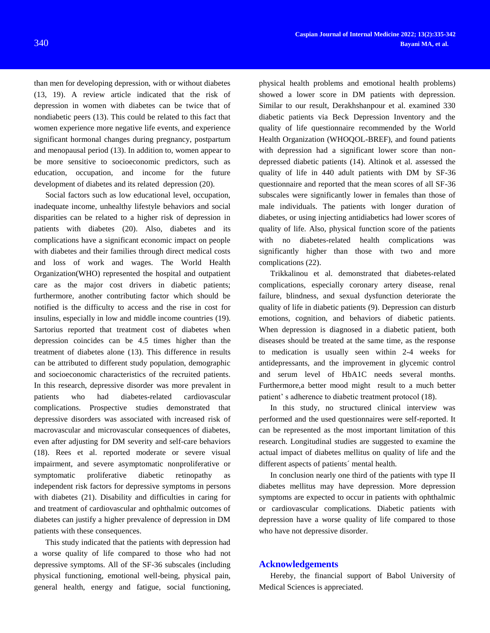than men for developing depression, with or without diabetes (13, 19). A review article indicated that the risk of depression in women with diabetes can be twice that of nondiabetic peers (13). This could be related to this fact that women experience more negative life events, and experience significant hormonal changes during pregnancy, postpartum and menopausal period (13). In addition to, women appear to be more sensitive to socioeconomic predictors, such as education, occupation, and income for the future development of diabetes and its related depression (20).

Social factors such as low educational level, occupation, inadequate income, unhealthy lifestyle behaviors and social disparities can be related to a higher risk of depression in patients with diabetes (20). Also, diabetes and its complications have a significant economic impact on people with diabetes and their families through direct medical costs and loss of work and wages. The World Health Organization(WHO) represented the hospital and outpatient care as the major cost drivers in diabetic patients; furthermore, another contributing factor which should be notified is the difficulty to access and the rise in cost for insulins, especially in low and middle income countries (19). Sartorius reported that treatment cost of diabetes when depression coincides can be 4.5 times higher than the treatment of diabetes alone (13). This difference in results can be attributed to different study population, demographic and socioeconomic characteristics of the recruited patients. In this research, depressive disorder was more prevalent in patients who had diabetes-related cardiovascular complications. Prospective studies demonstrated that depressive disorders was associated with increased risk of macrovascular and microvascular consequences of diabetes, even after adjusting for DM severity and self-care behaviors (18). Rees et al. reported moderate or severe visual impairment, and severe asymptomatic nonproliferative or symptomatic proliferative diabetic retinopathy as independent risk factors for depressive symptoms in persons with diabetes (21). Disability and difficulties in caring for and treatment of cardiovascular and ophthalmic outcomes of diabetes can justify a higher prevalence of depression in DM patients with these consequences.

This study indicated that the patients with depression had a worse quality of life compared to those who had not depressive symptoms. All of the SF-36 subscales (including physical functioning, emotional well-being, physical pain, general health, energy and fatigue, social functioning,

physical health problems and emotional health problems) showed a lower score in DM patients with depression. Similar to our result, Derakhshanpour et al. examined 330 diabetic patients via Beck Depression Inventory and the quality of life questionnaire recommended by the World Health Organization (WHOQOL-BREF), and found patients with depression had a significant lower score than nondepressed diabetic patients (14). Altinok et al. assessed the quality of life in 440 adult patients with DM by SF-36 questionnaire and reported that the mean scores of all SF-36 subscales were significantly lower in females than those of male individuals. The patients with longer duration of diabetes, or using injecting antidiabetics had lower scores of quality of life. Also, physical function score of the patients with no diabetes-related health complications was significantly higher than those with two and more complications (22).

Trikkalinou et al. demonstrated that diabetes-related complications, especially coronary artery disease, renal failure, blindness, and sexual dysfunction deteriorate the quality of life in diabetic patients (9). Depression can disturb emotions, cognition, and behaviors of diabetic patients. When depression is diagnosed in a diabetic patient, both diseases should be treated at the same time, as the response to medication is usually seen within 2-4 weeks for antidepressants, and the improvement in glycemic control and serum level of HbA1C needs several months. Furthermore,a better mood might result to a much better patient' s adherence to diabetic treatment protocol (18).

In this study, no structured clinical interview was performed and the used questionnaires were self-reported. It can be represented as the most important limitation of this research. Longitudinal studies are suggested to examine the actual impact of diabetes mellitus on quality of life and the different aspects of patients´ mental health.

In conclusion nearly one third of the patients with type II diabetes mellitus may have depression. More depression symptoms are expected to occur in patients with ophthalmic or cardiovascular complications. Diabetic patients with depression have a worse quality of life compared to those who have not depressive disorder.

### **Acknowledgements**

Hereby, the financial support of Babol University of Medical Sciences is appreciated.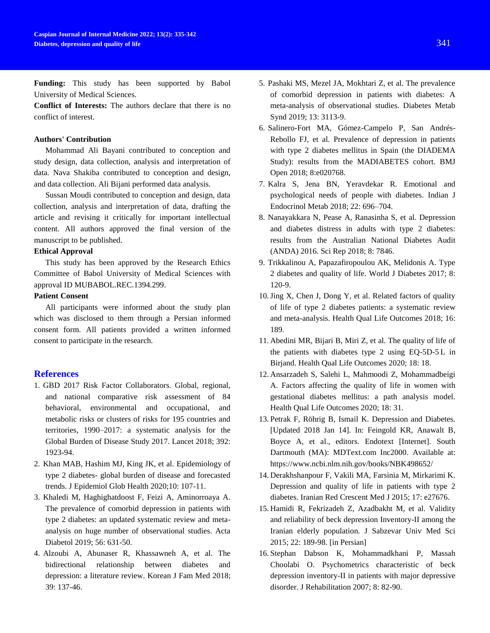**Funding:** This study has been supported by Babol University of Medical Sciences.

**Conflict of Interests:** The authors declare that there is no conflict of interest.

#### **Authors' Contribution**

Mohammad Ali Bayani contributed to conception and study design, data collection, analysis and interpretation of data. Nava Shakiba contributed to conception and design, and data collection. Ali Bijani performed data analysis.

Sussan Moudi contributed to conception and design, data collection, analysis and interpretation of data, drafting the article and revising it critically for important intellectual content. All authors approved the final version of the manuscript to be published.

### **Ethical Approval**

This study has been approved by the Research Ethics Committee of Babol University of Medical Sciences with approval ID MUBABOL.REC.1394.299.

#### **Patient Consent**

All participants were informed about the study plan which was disclosed to them through a Persian informed consent form. All patients provided a written informed consent to participate in the research.

### **References**

- 1. GBD 2017 Risk Factor Collaborators. Global, regional, and national comparative risk assessment of 84 behavioral, environmental and occupational, and metabolic risks or clusters of risks for 195 countries and territories, 1990–2017: a systematic analysis for the Global Burden of Disease Study 2017. Lancet 2018; 392: 1923-94.
- 2. Khan MAB, Hashim MJ, King JK, et al. Epidemiology of type 2 diabetes- global burden of disease and forecasted trends. J Epidemiol Glob Health 2020;10: 107-11.
- 3. Khaledi M, Haghighatdoost F, Feizi A, Aminorroaya A. The prevalence of comorbid depression in patients with type 2 diabetes: an updated systematic review and metaanalysis on huge number of observational studies. Acta Diabetol 2019; 56: 631-50.
- 4. Alzoubi A, Abunaser R, Khassawneh A, et al. The bidirectional relationship between diabetes and depression: a literature review. Korean J Fam Med 2018; 39: 137-46.
- 5. Pashaki MS, Mezel JA, Mokhtari Z, et al. The prevalence of comorbid depression in patients with diabetes: A meta-analysis of observational studies. Diabetes Metab Synd 2019; 13: 3113-9.
- 6. Salinero-Fort MA, Gómez-Campelo P, San Andrés-Rebollo FJ, et al. Prevalence of depression in patients with type 2 diabetes mellitus in Spain (the DIADEMA Study): results from the MADIABETES cohort. BMJ Open 2018; 8:e020768.
- 7. Kalra S, Jena BN, Yeravdekar R. Emotional and psychological needs of people with diabetes. Indian J Endocrinol Metab 2018; 22: 696–704.
- 8. Nanayakkara N, Pease A, Ranasinha S, et al. Depression and diabetes distress in adults with type 2 diabetes: results from the Australian National Diabetes Audit (ANDA) 2016. Sci Rep 2018; 8: 7846.
- 9. Trikkalinou A, Papazafiropoulou AK, Melidonis A. Type 2 diabetes and quality of life. World J Diabetes 2017; 8: 120-9.
- 10.Jing X, Chen J, Dong Y, et al. Related factors of quality of life of type 2 diabetes patients: a systematic review and meta-analysis. Health Qual Life Outcomes 2018; 16: 189.
- 11. Abedini MR, Bijari B, Miri Z, et al. The quality of life of the patients with diabetes type 2 using EQ-5D-5 L in Birjand. Health Qual Life Outcomes 2020; 18: 18.
- 12. Ansarzadeh S, Salehi L, Mahmoodi Z, Mohammadbeigi A. Factors affecting the quality of life in women with gestational diabetes mellitus: a path analysis model. Health Qual Life Outcomes 2020; 18: 31.
- 13. Petrak F, Röhrig B, Ismail K. Depression and Diabetes. [Updated 2018 Jan 14]. In: Feingold KR, Anawalt B, Boyce A, et al., editors. Endotext [Internet]. South Dartmouth (MA): MDText.com Inc2000. Available at: https://www.ncbi.nlm.nih.gov/books/NBK498652/
- 14. Derakhshanpour F, Vakili MA, Farsinia M, Mirkarimi K. Depression and quality of life in patients with type 2 diabetes. Iranian Red Crescent Med J 2015; 17: e27676.
- 15. Hamidi R, Fekrizadeh Z, Azadbakht M, et al. Validity and reliability of beck depression Inventory-II among the Iranian elderly population. J Sabzevar Univ Med Sci 2015; 22: 189-98. [in Persian]
- 16. Stephan Dabson K, Mohammadkhani P, Massah Choolabi O. Psychometrics characteristic of beck depression inventory-II in patients with major depressive disorder. J Rehabilitation 2007; 8: 82-90.